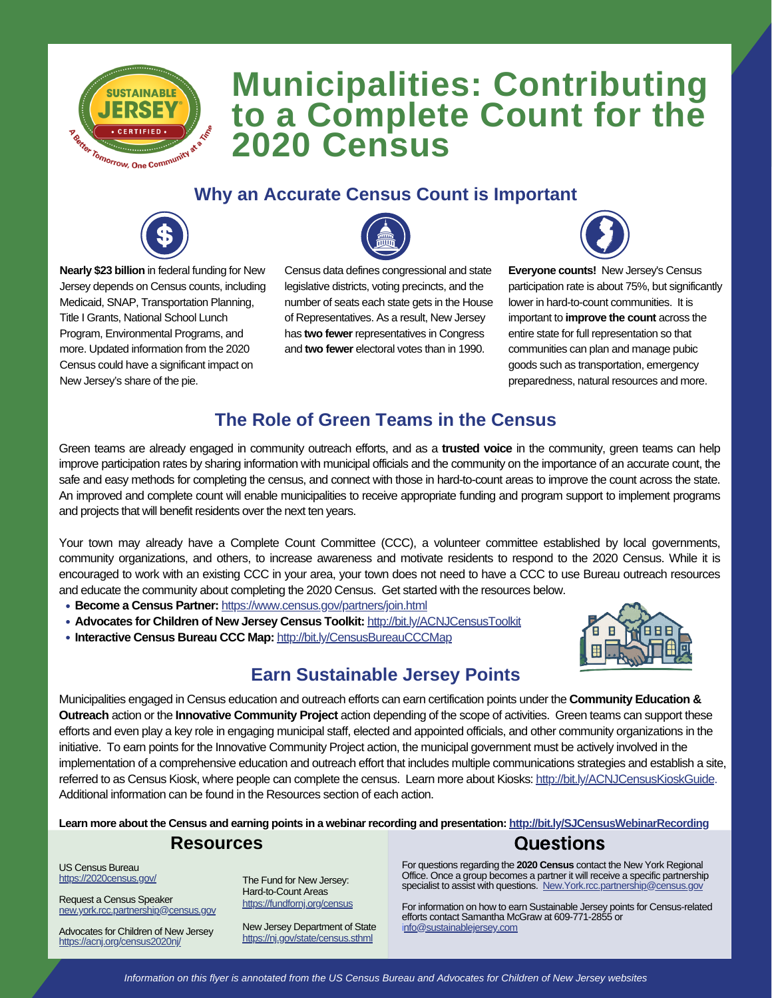

# **Municipalities: Contributing to a Complete Count for the 2020 Census**

### **Why an Accurate Census Count is Important**



**Nearly \$23 billion** in federal funding for New Jersey depends on Census counts, including Medicaid, SNAP, Transportation Planning, Title I Grants, National School Lunch Program, Environmental Programs, and more. Updated information from the 2020 Census could have a significant impact on New Jersey's share of the pie.



Census data defines congressional and state legislative districts, voting precincts, and the number of seats each state gets in the House of Representatives. As a result, New Jersey has **two fewer** representatives in Congress and **two fewer** electoral votes than in 1990.



**Everyone counts!** New Jersey's Census participation rate is about 75%, but significantly lower in hard-to-count communities. It is important to **improve the count** across the entire state for full representation so that communities can plan and manage pubic goods such as transportation, emergency preparedness, natural resources and more.

## **The Role of Green Teams in the Census**

Green teams are already engaged in community outreach efforts, and as a **trusted voice** in the community, green teams can help improve participation rates by sharing information with municipal officials and the community on the importance of an accurate count, the safe and easy methods for completing the census, and connect with those in hard-to-count areas to improve the count across the state. An improved and complete count will enable municipalities to receive appropriate funding and program support to implement programs and projects that will benefit residents over the next ten years.

Your town may already have a Complete Count Committee (CCC), a volunteer committee established by local governments, community organizations, and others, to increase awareness and motivate residents to respond to the 2020 Census. While it is encouraged to work with an existing CCC in your area, your town does not need to have a CCC to use Bureau outreach resources and educate the community about completing the 2020 Census. Get started with the resources below.

- **Become a Census Partner:** https://www.census.gov/partners/join.html
- **Advocates for Children of New Jersey Census Toolkit:** http://bit.ly/ACNJCensusToolkit
- **Interactive Census Bureau CCC Map:** http://bit.ly/CensusBureauCCCMap



## **Earn Sustainable Jersey Points**

Municipalities engaged in Census education and outreach efforts can earn certification points under the **Community Education & Outreach** action or the **Innovative Community Project** action depending of the scope of activities. Green teams can support these efforts and even play a key role in engaging municipal staff, elected and appointed officials, and other community organizations in the initiative. To earn points for the Innovative Community Project action, the municipal government must be actively involved in the implementation of a comprehensive education and outreach effort that includes multiple communications strategies and establish a site, referred to as Census Kiosk, where people can complete the census. Learn more about Kiosks: http://bit.ly/ACNJCensusKioskGuide. Additional information can be found in the Resources section of each action.

Learn more about the Census and earning points in a webinar recording and presentation: <http://bit.ly/SJCensusWebinarRecording>

#### **Resources**

US Census Bureau https://2020census.gov/

Request a Census Speaker new.york.rcc.partnership@census.gov

Advocates for Children of New Jersey https://acnj.org/census2020nj/

The Fund for New Jersey: Hard-to-Count Areas https://fundfornj.org/census

New Jersey Department of State https://nj.gov/state/census.sthml

Questions

For questions regarding the **2020 Census** contact the New York Regional Office. Once a group becomes a partner it will receive a specific partnership specialist to assist with questions. New.York.rcc.partnership@census.gov

For information on how to earn Sustainable Jersey points for Census-related efforts contact Samantha McGraw at 609-771-2855 or info@sustainablejersey.com